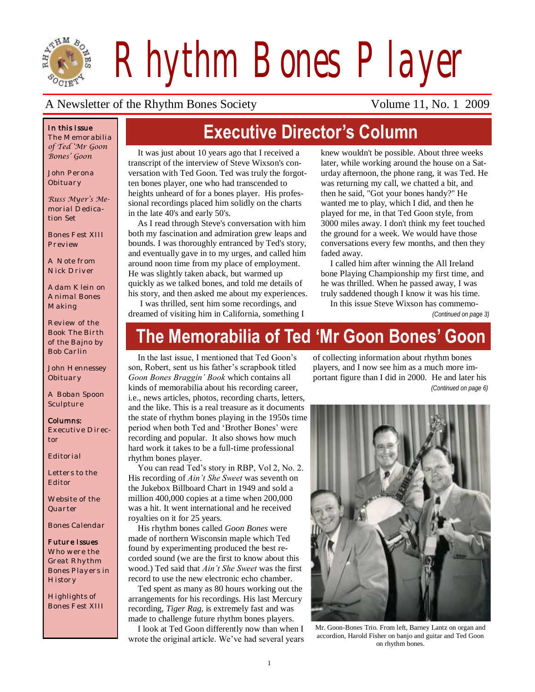

*Rhythm Bones Player*

#### A Newsletter of the Rhythm Bones Society Volume 11, No. 1 2009

#### *In this Issue*

*The Memorabilia of Ted 'Mr Goon Bones' Goon*

*John Perona Obituary*

*Russ Myer's Memorial Dedication Set*

*Bones Fest XIII Preview*

*A Note from Nick Driver*

*Adam Klein on Animal Bones Making*

*Review of the Book The Birth of the Bajno by Bob Carlin*

*John Hennessey Obituary*

*A Boban Spoon Sculpture* 

#### *Columns:*

*Executive Director*

*Editorial*

*Letters to the Editor*

*Website of the Quarter*

*Bones Calendar*

#### *Future Issues*

*Who were the Great Rhythm Bones Players in History*

*Highlights of Bones Fest XIII*

# **Executive Director's Column**

It was just about 10 years ago that I received a transcript of the interview of Steve Wixson's conversation with Ted Goon. Ted was truly the forgotten bones player, one who had transcended to heights unheard of for a bones player. His professional recordings placed him solidly on the charts in the late 40's and early 50's.

As I read through Steve's conversation with him both my fascination and admiration grew leaps and bounds. I was thoroughly entranced by Ted's story, and eventually gave in to my urges, and called him around noon time from my place of employment. He was slightly taken aback, but warmed up quickly as we talked bones, and told me details of his story, and then asked me about my experiences. I was thrilled, sent him some recordings, and

knew wouldn't be possible. About three weeks later, while working around the house on a Saturday afternoon, the phone rang, it was Ted. He was returning my call, we chatted a bit, and then he said, "Got your bones handy?" He wanted me to play, which I did, and then he played for me, in that Ted Goon style, from 3000 miles away. I don't think my feet touched the ground for a week. We would have those conversations every few months, and then they faded away.

I called him after winning the All Ireland bone Playing Championship my first time, and he was thrilled. When he passed away, I was truly saddened though I know it was his time.

In this issue Steve Wixson has commemo-

dreamed of visiting him in California, something I

#### *(Continued on page 3)*

# **The Memorabilia of Ted 'Mr Goon Bones' Goon**

In the last issue, I mentioned that Ted Goon's son, Robert, sent us his father's scrapbook titled *Goon Bones Braggin' Book* which contains all kinds of memorabilia about his recording career, i.e., news articles, photos, recording charts, letters, and the like. This is a real treasure as it documents the state of rhythm bones playing in the 1950s time period when both Ted and 'Brother Bones' were recording and popular. It also shows how much hard work it takes to be a full-time professional rhythm bones player.

You can read Ted's story in RBP, Vol 2, No. 2. His recording of *Ain't She Sweet* was seventh on the Jukebox Billboard Chart in 1949 and sold a million 400,000 copies at a time when 200,000 was a hit. It went international and he received royalties on it for 25 years.

His rhythm bones called *Goon Bones* were made of northern Wisconsin maple which Ted found by experimenting produced the best recorded sound (we are the first to know about this wood.) Ted said that *Ain't She Sweet* was the first record to use the new electronic echo chamber.

Ted spent as many as 80 hours working out the arrangements for his recordings. His last Mercury recording, *Tiger Rag,* is extremely fast and was made to challenge future rhythm bones players.

I look at Ted Goon differently now than when I wrote the original article. We've had several years of collecting information about rhythm bones players, and I now see him as a much more important figure than I did in 2000. He and later his *(Continued on page 6)*



Mr. Goon-Bones Trio. From left, Barney Lantz on organ and accordion, Harold Fisher on banjo and guitar and Ted Goon on rhythm bones.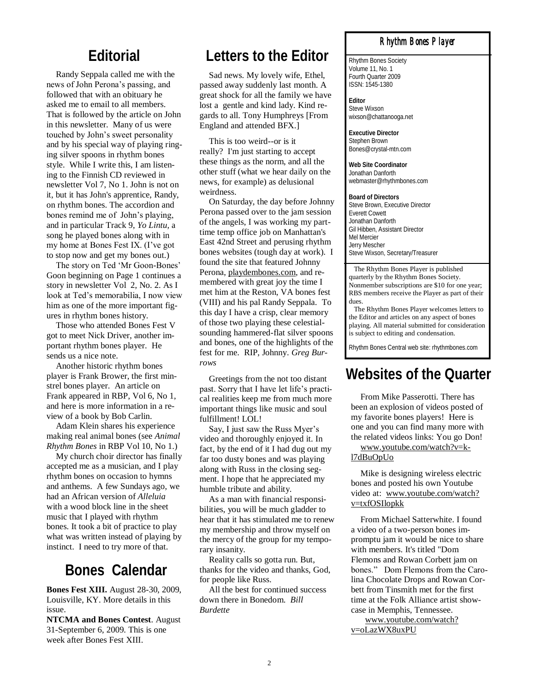#### **Editorial**

Randy Seppala called me with the news of John Perona's passing, and followed that with an obituary he asked me to email to all members. That is followed by the article on John in this newsletter. Many of us were touched by John's sweet personality and by his special way of playing ringing silver spoons in rhythm bones style. While I write this, I am listening to the Finnish CD reviewed in newsletter Vol 7, No 1. John is not on it, but it has John's apprentice, Randy, on rhythm bones. The accordion and bones remind me of John's playing, and in particular Track 9, *Yo Lintu,* a song he played bones along with in my home at Bones Fest IX. (I've got to stop now and get my bones out.)

The story on Ted 'Mr Goon-Bones' Goon beginning on Page 1 continues a story in newsletter Vol 2, No. 2. As I look at Ted's memorabilia, I now view him as one of the more important figures in rhythm bones history.

Those who attended Bones Fest V got to meet Nick Driver, another important rhythm bones player. He sends us a nice note.

Another historic rhythm bones player is Frank Brower, the first minstrel bones player. An article on Frank appeared in RBP, Vol 6, No 1, and here is more information in a review of a book by Bob Carlin.

Adam Klein shares his experience making real animal bones (see *Animal Rhythm Bones* in RBP Vol 10, No 1.)

My church choir director has finally accepted me as a musician, and I play rhythm bones on occasion to hymns and anthems. A few Sundays ago, we had an African version of *Alleluia* with a wood block line in the sheet music that I played with rhythm bones. It took a bit of practice to play what was written instead of playing by instinct. I need to try more of that.

### **Bones Calendar**

**Bones Fest XIII.** August 28-30, 2009, Louisville, KY. More details in this issue.

**NTCMA and Bones Contest**. August 31-September 6, 2009. This is one week after Bones Fest XIII.

## **Letters to the Editor**

Sad news. My lovely wife, Ethel, passed away suddenly last month. A great shock for all the family we have lost a gentle and kind lady. Kind regards to all. Tony Humphreys [From England and attended BFX.]

This is too weird--or is it really? I'm just starting to accept these things as the norm, and all the other stuff (what we hear daily on the news, for example) as delusional weirdness.

On Saturday, the day before Johnny Perona passed over to the jam session of the angels, I was working my parttime temp office job on Manhattan's East 42nd Street and perusing rhythm bones websites (tough day at work). I found the site that featured Johnny Perona, [playdembones.com,](http://www.playdembones.com) and remembered with great joy the time I met him at the Reston, VA bones fest (VIII) and his pal Randy Seppala. To this day I have a crisp, clear memory of those two playing these celestialsounding hammered-flat silver spoons and bones, one of the highlights of the fest for me. RIP, Johnny. *Greg Burrows*

Greetings from the not too distant past. Sorry that I have let life's practical realities keep me from much more important things like music and soul fulfillment! LOL!

Say, I just saw the Russ Myer's video and thoroughly enjoyed it. In fact, by the end of it I had dug out my far too dusty bones and was playing along with Russ in the closing segment. I hope that he appreciated my humble tribute and ability.

As a man with financial responsibilities, you will be much gladder to hear that it has stimulated me to renew my membership and throw myself on the mercy of the group for my temporary insanity.

Reality calls so gotta run. But, thanks for the video and thanks, God, for people like Russ.

All the best for continued success down there in Bonedom. *Bill Burdette*

#### *Rhythm Bones Player*

Rhythm Bones Society Volume 11, No. 1 Fourth Quarter 2009 ISSN: 1545-1380

**Editor** Steve Wixson wixson@chattanooga.net

**Executive Director** Stephen Brown Bones@crystal-mtn.com

**Web Site Coordinator** Jonathan Danforth webmaster@rhythmbones.com

**Board of Directors** Steve Brown, Executive Director Everett Cowett Jonathan Danforth Gil Hibben, Assistant Director Mel Mercier Jerry Mescher Steve Wixson, Secretary/Treasurer

 The Rhythm Bones Player is published quarterly by the Rhythm Bones Society. Nonmember subscriptions are \$10 for one year; RBS members receive the Player as part of their dues.

 The Rhythm Bones Player welcomes letters to the Editor and articles on any aspect of bones playing. All material submitted for consideration is subject to editing and condensation.

Rhythm Bones Central web site: rhythmbones.com

# **Websites of the Quarter**

From Mike Passerotti. There has been an explosion of videos posted of my favorite bones players! Here is one and you can find many more with the related videos links: You go Don!

[www.youtube.com/watch?v=k](http://www.youtube.com/watch?v=k-l7dBuOpUo)[l7dBuOpUo](http://www.youtube.com/watch?v=k-l7dBuOpUo)

Mike is designing wireless electric bones and posted his own Youtube video at: www.youtube.com/watch? v=txfOSIlopkk

From Michael Satterwhite. I found a video of a two-person bones impromptu jam it would be nice to share with members. It's titled "Dom Flemons and Rowan Corbett jam on bones." Dom Flemons from the Carolina Chocolate Drops and Rowan Corbett from Tinsmith met for the first time at the Folk Alliance artist showcase in Memphis, Tennessee.

www.youtube.com/watch? v=oLazWX8uxPU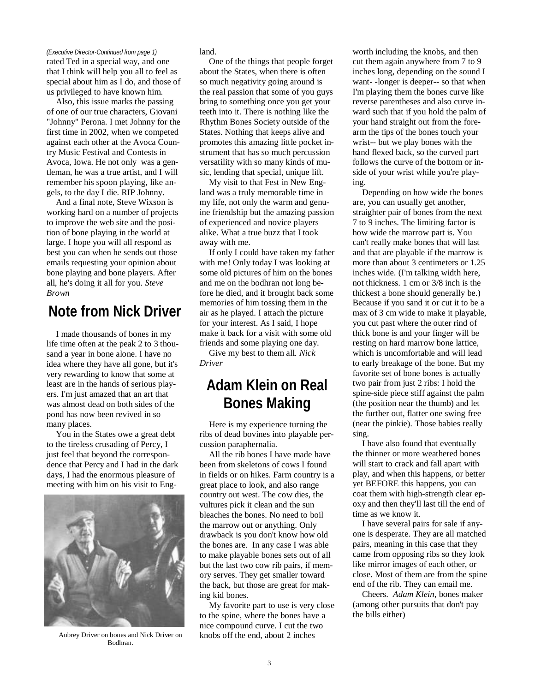#### *(Executive Director-Continued from page 1)*

rated Ted in a special way, and one that I think will help you all to feel as special about him as I do, and those of us privileged to have known him.

Also, this issue marks the passing of one of our true characters, Giovani "Johnny" Perona. I met Johnny for the first time in 2002, when we competed against each other at the Avoca Country Music Festival and Contests in Avoca, Iowa. He not only was a gentleman, he was a true artist, and I will remember his spoon playing, like angels, to the day I die. RIP Johnny.

And a final note, Steve Wixson is working hard on a number of projects to improve the web site and the position of bone playing in the world at large. I hope you will all respond as best you can when he sends out those emails requesting your opinion about bone playing and bone players. After all, he's doing it all for you. *Steve Brown*

### **Note from Nick Driver**

I made thousands of bones in my life time often at the peak 2 to 3 thousand a year in bone alone. I have no idea where they have all gone, but it's very rewarding to know that some at least are in the hands of serious players. I'm just amazed that an art that was almost dead on both sides of the pond has now been revived in so many places.

You in the States owe a great debt to the tireless crusading of Percy, I just feel that beyond the correspondence that Percy and I had in the dark days, I had the enormous pleasure of meeting with him on his visit to Eng-



Aubrey Driver on bones and Nick Driver on Bodhran.

land.

One of the things that people forget about the States, when there is often so much negativity going around is the real passion that some of you guys bring to something once you get your teeth into it. There is nothing like the Rhythm Bones Society outside of the States. Nothing that keeps alive and promotes this amazing little pocket instrument that has so much percussion versatility with so many kinds of music, lending that special, unique lift.

My visit to that Fest in New England was a truly memorable time in my life, not only the warm and genuine friendship but the amazing passion of experienced and novice players alike. What a true buzz that I took away with me.

If only I could have taken my father with me! Only today I was looking at some old pictures of him on the bones and me on the bodhran not long before he died, and it brought back some memories of him tossing them in the air as he played. I attach the picture for your interest. As I said, I hope make it back for a visit with some old friends and some playing one day.

Give my best to them all. *Nick Driver*

### **Adam Klein on Real Bones Making**

Here is my experience turning the ribs of dead bovines into playable percussion paraphernalia.

All the rib bones I have made have been from skeletons of cows I found in fields or on hikes. Farm country is a great place to look, and also range country out west. The cow dies, the vultures pick it clean and the sun bleaches the bones. No need to boil the marrow out or anything. Only drawback is you don't know how old the bones are. In any case I was able to make playable bones sets out of all but the last two cow rib pairs, if memory serves. They get smaller toward the back, but those are great for making kid bones.

My favorite part to use is very close to the spine, where the bones have a nice compound curve. I cut the two knobs off the end, about 2 inches

worth including the knobs, and then cut them again anywhere from 7 to 9 inches long, depending on the sound I want- -longer is deeper-- so that when I'm playing them the bones curve like reverse parentheses and also curve inward such that if you hold the palm of your hand straight out from the forearm the tips of the bones touch your wrist-- but we play bones with the hand flexed back, so the curved part follows the curve of the bottom or inside of your wrist while you're playing.

Depending on how wide the bones are, you can usually get another, straighter pair of bones from the next 7 to 9 inches. The limiting factor is how wide the marrow part is. You can't really make bones that will last and that are playable if the marrow is more than about 3 centimeters or 1.25 inches wide. (I'm talking width here, not thickness. 1 cm or 3/8 inch is the thickest a bone should generally be.) Because if you sand it or cut it to be a max of 3 cm wide to make it playable, you cut past where the outer rind of thick bone is and your finger will be resting on hard marrow bone lattice, which is uncomfortable and will lead to early breakage of the bone. But my favorite set of bone bones is actually two pair from just 2 ribs: I hold the spine-side piece stiff against the palm (the position near the thumb) and let the further out, flatter one swing free (near the pinkie). Those babies really sing.

I have also found that eventually the thinner or more weathered bones will start to crack and fall apart with play, and when this happens, or better yet BEFORE this happens, you can coat them with high-strength clear epoxy and then they'll last till the end of time as we know it.

I have several pairs for sale if anyone is desperate. They are all matched pairs, meaning in this case that they came from opposing ribs so they look like mirror images of each other, or close. Most of them are from the spine end of the rib. They can email me.

Cheers. *Adam Klein*, bones maker (among other pursuits that don't pay the bills either)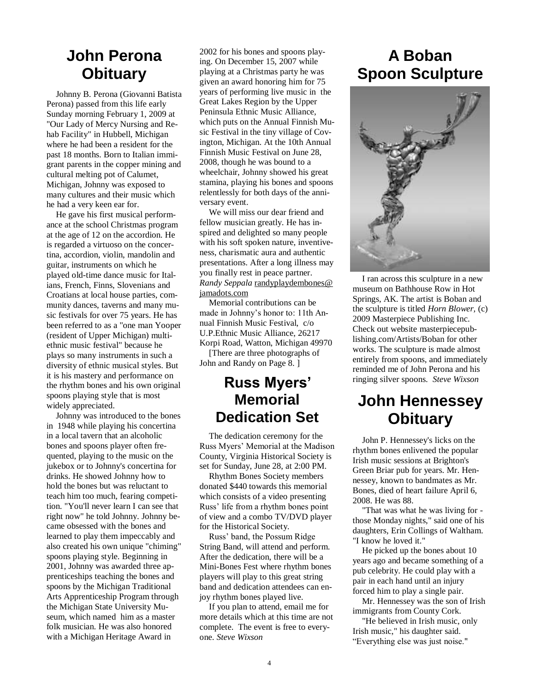### **John Perona Obituary**

Johnny B. Perona (Giovanni Batista Perona) passed from this life early Sunday morning February 1, 2009 at "Our Lady of Mercy Nursing and Rehab Facility" in Hubbell, Michigan where he had been a resident for the past 18 months. Born to Italian immigrant parents in the copper mining and cultural melting pot of Calumet, Michigan, Johnny was exposed to many cultures and their music which he had a very keen ear for.

He gave his first musical performance at the school Christmas program at the age of 12 on the accordion. He is regarded a virtuoso on the concertina, accordion, violin, mandolin and guitar, instruments on which he played old-time dance music for Italians, French, Finns, Slovenians and Croatians at local house parties, community dances, taverns and many music festivals for over 75 years. He has been referred to as a "one man Yooper (resident of Upper Michigan) multiethnic music festival" because he plays so many instruments in such a diversity of ethnic musical styles. But it is his mastery and performance on the rhythm bones and his own original spoons playing style that is most widely appreciated.

Johnny was introduced to the bones in 1948 while playing his concertina in a local tavern that an alcoholic bones and spoons player often frequented, playing to the music on the jukebox or to Johnny's concertina for drinks. He showed Johnny how to hold the bones but was reluctant to teach him too much, fearing competition. "You'll never learn I can see that right now" he told Johnny. Johnny became obsessed with the bones and learned to play them impeccably and also created his own unique "chiming" spoons playing style. Beginning in 2001, Johnny was awarded three apprenticeships teaching the bones and spoons by the Michigan Traditional Arts Apprenticeship Program through the Michigan State University Museum, which named him as a master folk musician. He was also honored with a Michigan Heritage Award in

2002 for his bones and spoons playing. On December 15, 2007 while playing at a Christmas party he was given an award honoring him for 75 years of performing live music in the Great Lakes Region by the Upper Peninsula Ethnic Music Alliance, which puts on the Annual Finnish Music Festival in the tiny village of Covington, Michigan. At the 10th Annual Finnish Music Festival on June 28, 2008, though he was bound to a wheelchair, Johnny showed his great stamina, playing his bones and spoons relentlessly for both days of the anniversary event.

We will miss our dear friend and fellow musician greatly. He has inspired and delighted so many people with his soft spoken nature, inventiveness, charismatic aura and authentic presentations. After a long illness may you finally rest in peace partner. *Randy Seppala* [randyplaydembones@](mailto:randyplaydembones@jamadots.com) [jamadots.com](mailto:randyplaydembones@jamadots.com)

Memorial contributions can be made in Johnny's honor to: 11th Annual Finnish Music Festival, c/o U.P.Ethnic Music Alliance, 26217 Korpi Road, Watton, Michigan 49970

[There are three photographs of John and Randy on Page 8. ]

### **Russ Myers' Memorial Dedication Set**

The dedication ceremony for the Russ Myers' Memorial at the Madison County, Virginia Historical Society is set for Sunday, June 28, at 2:00 PM.

Rhythm Bones Society members donated \$440 towards this memorial which consists of a video presenting Russ' life from a rhythm bones point of view and a combo TV/DVD player for the Historical Society.

Russ' band, the Possum Ridge String Band, will attend and perform. After the dedication, there will be a Mini-Bones Fest where rhythm bones players will play to this great string band and dedication attendees can enjoy rhythm bones played live.

If you plan to attend, email me for more details which at this time are not complete. The event is free to everyone. *Steve Wixson*

# **A Boban Spoon Sculpture**



I ran across this sculpture in a new museum on Bathhouse Row in Hot Springs, AK. The artist is Boban and the sculpture is titled *Horn Blower,* (c) 2009 Masterpiece Publishing Inc. Check out website masterpiecepublishing.com/Artists/Boban for other works. The sculpture is made almost entirely from spoons, and immediately reminded me of John Perona and his ringing silver spoons. *Steve Wixson*

# **John Hennessey Obituary**

John P. Hennessey's licks on the rhythm bones enlivened the popular Irish music sessions at Brighton's Green Briar pub for years. Mr. Hennessey, known to bandmates as Mr. Bones, died of heart failure April 6, 2008. He was 88.

"That was what he was living for those Monday nights," said one of his daughters, Erin Collings of Waltham. "I know he loved it."

He picked up the bones about 10 years ago and became something of a pub celebrity. He could play with a pair in each hand until an injury forced him to play a single pair.

Mr. Hennessey was the son of Irish immigrants from County Cork.

"He believed in Irish music, only Irish music," his daughter said. ―Everything else was just noise."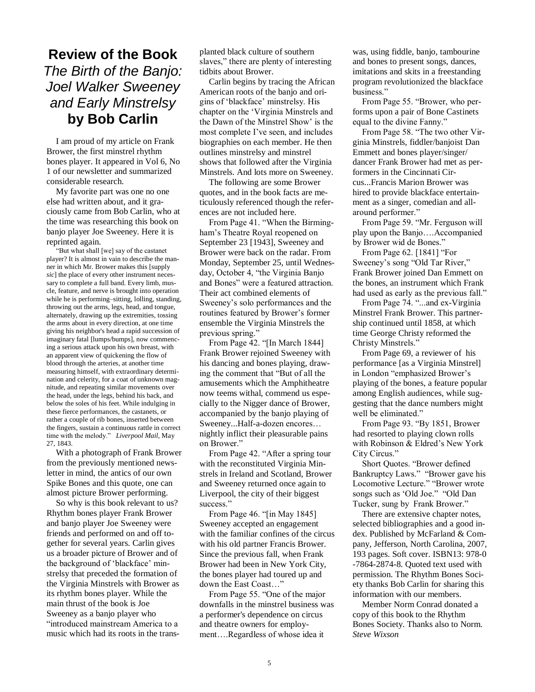### **Review of the Book**  *The Birth of the Banjo: Joel Walker Sweeney and Early Minstrelsy*  **by Bob Carlin**

I am proud of my article on Frank Brower, the first minstrel rhythm bones player. It appeared in Vol 6, No 1 of our newsletter and summarized considerable research.

My favorite part was one no one else had written about, and it graciously came from Bob Carlin, who at the time was researching this book on banjo player Joe Sweeney. Here it is reprinted again.

―But what shall [we] say of the castanet player? It is almost in vain to describe the manner in which Mr. Brower makes this [supply *sic*] the place of every other instrument necessary to complete a full band. Every limb, muscle, feature, and nerve is brought into operation while he is performing–sitting, lolling, standing, throwing out the arms, legs, head, and tongue, alternately, drawing up the extremities, tossing the arms about in every direction, at one time giving his neighbor's head a rapid succession of imaginary fatal [lumps/bumps], now commencing a serious attack upon his own breast, with an apparent view of quickening the flow of blood through the arteries, at another time measuring himself, with extraordinary determination and celerity, for a coat of unknown magnitude, and repeating similar movements over the head, under the legs, behind his back, and below the soles of his feet. While indulging in these fierce performances, the castanets, or rather a couple of rib bones, inserted between the fingers, sustain a continuous rattle in correct time with the melody." Liverpool Mail, May 27, 1843.

With a photograph of Frank Brower from the previously mentioned newsletter in mind, the antics of our own Spike Bones and this quote, one can almost picture Brower performing.

So why is this book relevant to us? Rhythm bones player Frank Brower and banjo player Joe Sweeney were friends and performed on and off together for several years. Carlin gives us a broader picture of Brower and of the background of 'blackface' minstrelsy that preceded the formation of the Virginia Minstrels with Brower as its rhythm bones player. While the main thrust of the book is Joe Sweeney as a banjo player who "introduced mainstream America to a music which had its roots in the transplanted black culture of southern slaves," there are plenty of interesting tidbits about Brower.

Carlin begins by tracing the African American roots of the banjo and origins of ‗blackface' minstrelsy. His chapter on the ‗Virginia Minstrels and the Dawn of the Minstrel Show' is the most complete I've seen, and includes biographies on each member. He then outlines minstrelsy and minstrel shows that followed after the Virginia Minstrels. And lots more on Sweeney.

The following are some Brower quotes, and in the book facts are meticulously referenced though the references are not included here.

From Page 41. "When the Birmingham's Theatre Royal reopened on September 23 [1943], Sweeney and Brower were back on the radar. From Monday, September 25, until Wednesday, October 4, "the Virginia Banjo and Bones" were a featured attraction. Their act combined elements of Sweeney's solo performances and the routines featured by Brower's former ensemble the Virginia Minstrels the previous spring."

From Page 42. "[In March 1844] Frank Brower rejoined Sweeney with his dancing and bones playing, drawing the comment that "But of all the amusements which the Amphitheatre now teems withal, commend us especially to the Nigger dance of Brower, accompanied by the banjo playing of Sweeney...Half-a-dozen encores… nightly inflict their pleasurable pains on Brower."

From Page 42. "After a spring tour with the reconstituted Virginia Minstrels in Ireland and Scotland, Brower and Sweeney returned once again to Liverpool, the city of their biggest success."

From Page 46. "[in May 1845] Sweeney accepted an engagement with the familiar confines of the circus with his old partner Francis Brower. Since the previous fall, when Frank Brower had been in New York City, the bones player had toured up and down the East Coast..."

From Page 55. "One of the major downfalls in the minstrel business was a performer's dependence on circus and theatre owners for employment….Regardless of whose idea it

was, using fiddle, banjo, tambourine and bones to present songs, dances, imitations and skits in a freestanding program revolutionized the blackface business."

From Page 55. "Brower, who performs upon a pair of Bone Castinets equal to the divine Fanny."

From Page 58. "The two other Virginia Minstrels, fiddler/banjoist Dan Emmett and bones player/singer/ dancer Frank Brower had met as performers in the Cincinnati Circus...Francis Marion Brower was hired to provide blackface entertainment as a singer, comedian and allaround performer."

From Page 59. "Mr. Ferguson will play upon the Banjo….Accompanied by Brower wid de Bones."

From Page 62.  $[1841]$  "For Sweeney's song "Old Tar River," Frank Brower joined Dan Emmett on the bones, an instrument which Frank had used as early as the previous fall."

From Page 74. "...and ex-Virginia Minstrel Frank Brower. This partnership continued until 1858, at which time George Christy reformed the Christy Minstrels."

From Page 69, a reviewer of his performance [as a Virginia Minstrel] in London "emphasized Brower's playing of the bones, a feature popular among English audiences, while suggesting that the dance numbers might well be eliminated."

From Page 93. "By 1851, Brower had resorted to playing clown rolls with Robinson & Eldred's New York City Circus."

Short Quotes. "Brower defined Bankruptcy Laws." "Brower gave his Locomotive Lecture." "Brower wrote songs such as 'Old Joe." "Old Dan Tucker, sung by Frank Brower."

There are extensive chapter notes, selected bibliographies and a good index. Published by McFarland & Company, Jefferson, North Carolina, 2007, 193 pages. Soft cover. ISBN13: 978-0 -7864-2874-8. Quoted text used with permission. The Rhythm Bones Society thanks Bob Carlin for sharing this information with our members.

Member Norm Conrad donated a copy of this book to the Rhythm Bones Society. Thanks also to Norm. *Steve Wixson*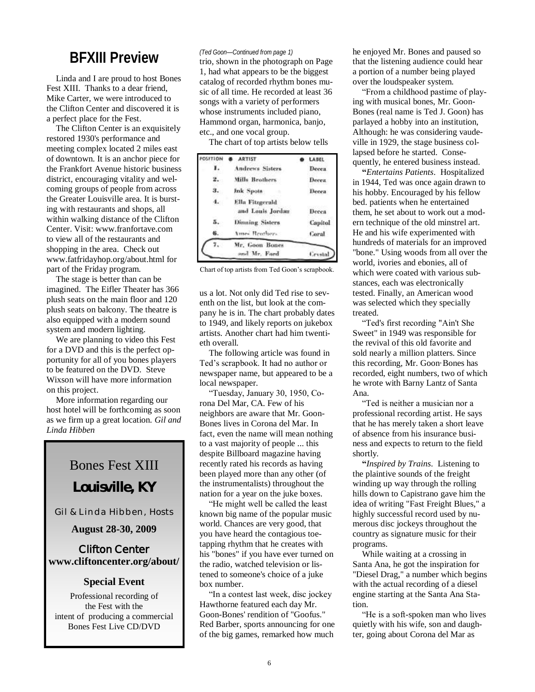### **BFXIII Preview** (*Led Goon—Continued from page 1)*<br>trio, shown in the photograph on Page

Linda and I are proud to host Bones Fest XIII. Thanks to a dear friend, Mike Carter, we were introduced to the Clifton Center and discovered it is a perfect place for the Fest.

The Clifton Center is an exquisitely restored 1930's performance and meeting complex located 2 miles east of downtown. It is an anchor piece for the Frankfort Avenue historic business district, encouraging vitality and welcoming groups of people from across the Greater Louisville area. It is bursting with restaurants and shops, all within walking distance of the Clifton Center. Visit: www.franfortave.com to view all of the restaurants and shopping in the area. Check out www.fatfridayhop.org/about.html for part of the Friday program.

The stage is better than can be imagined. The Eifler Theater has 366 plush seats on the main floor and 120 plush seats on balcony. The theatre is also equipped with a modern sound system and modern lighting.

We are planning to video this Fest for a DVD and this is the perfect opportunity for all of you bones players to be featured on the DVD. Steve Wixson will have more information on this project.

More information regarding our host hotel will be forthcoming as soon as we firm up a great location. *Gil and Linda Hibben*

# Bones Fest XIII **Louisville, KY**

Gil & Linda Hibben, Hosts

#### **August 28-30, 2009**

**Clifton Center www.cliftoncenter.org/about/**

#### **Special Event**

Professional recording of the Fest with the intent of producing a commercial Bones Fest Live CD/DVD

#### *(Ted Goon—Continued from page 1)*

1, had what appears to be the biggest catalog of recorded rhythm bones music of all time. He recorded at least 36 songs with a variety of performers whose instruments included piano, Hammond organ, harmonica, banjo, etc., and one vocal group.

The chart of top artists below tells

| POSETION | <b>ARTIST</b>                                                           |  | LABEL            |
|----------|-------------------------------------------------------------------------|--|------------------|
|          | Andrews Sisters<br><b>Mills Brothers</b>                                |  | Decea.           |
| 2. .     |                                                                         |  | Deces.           |
| з.       | Ink Spots                                                               |  | <b>Decea</b>     |
| 4.7      | Ella Fitzgerald<br>and Louis Jordan<br>Dinning Sisters<br>Ames Brathers |  | Decea            |
|          |                                                                         |  | Capitol<br>Coral |
|          |                                                                         |  |                  |
|          | Mr. Goon Bones<br>and Mr. Ford                                          |  | <i>Levsial</i>   |

Chart of top artists from Ted Goon's scrapbook.

us a lot. Not only did Ted rise to seventh on the list, but look at the company he is in. The chart probably dates to 1949, and likely reports on jukebox artists. Another chart had him twentieth overall.

The following article was found in Ted's scrapbook. It had no author or newspaper name, but appeared to be a local newspaper.

―Tuesday, January 30, 1950, Corona Del Mar, CA. Few of his neighbors are aware that Mr. Goon-Bones lives in Corona del Mar. In fact, even the name will mean nothing to a vast majority of people ... this despite Billboard magazine having recently rated his records as having been played more than any other (of the instrumentalists) throughout the nation for a year on the juke boxes.

"He might well be called the least known big name of the popular music world. Chances are very good, that you have heard the contagious toetapping rhythm that he creates with his "bones" if you have ever turned on the radio, watched television or listened to someone's choice of a juke box number.

'In a contest last week, disc jockey Hawthorne featured each day Mr. Goon-Bones' rendition of "Goofus." Red Barber, sports announcing for one of the big games, remarked how much

he enjoyed Mr. Bones and paused so that the listening audience could hear a portion of a number being played over the loudspeaker system.

―From a childhood pastime of playing with musical bones, Mr. Goon-Bones (real name is Ted J. Goon) has parlayed a hobby into an institution, Although: he was considering vaudeville in 1929, the stage business collapsed before he started. Consequently, he entered business instead.

**"***Entertains Patients*. Hospitalized in 1944, Ted was once again drawn to his hobby. Encouraged by his fellow bed. patients when he entertained them, he set about to work out a modern technique of the old minstrel art. He and his wife experimented with hundreds of materials for an improved "bone." Using woods from all over the world, ivories and ebonies, all of which were coated with various substances, each was electronically tested. Finally, an American wood was selected which they specially treated.

―Ted's first recording "Ain't She Sweet" in 1949 was responsible for the revival of this old favorite and sold nearly a million platters. Since this recording, Mr. Goon·Bones has recorded, eight numbers, two of which he wrote with Barny Lantz of Santa Ana.

―Ted is neither a musician nor a professional recording artist. He says that he has merely taken a short leave of absence from his insurance business and expects to return to the field shortly.

**"***Inspired by Trains*. Listening to the plaintive sounds of the freight winding up way through the rolling hills down to Capistrano gave him the idea of writing "Fast Freight Blues," a highly successful record used by numerous disc jockeys throughout the country as signature music for their programs.

While waiting at a crossing in Santa Ana, he got the inspiration for "Diesel Drag," a number which begins with the actual recording of a diesel engine starting at the Santa Ana Station.

"He is a soft-spoken man who lives quietly with his wife, son and daughter, going about Corona del Mar as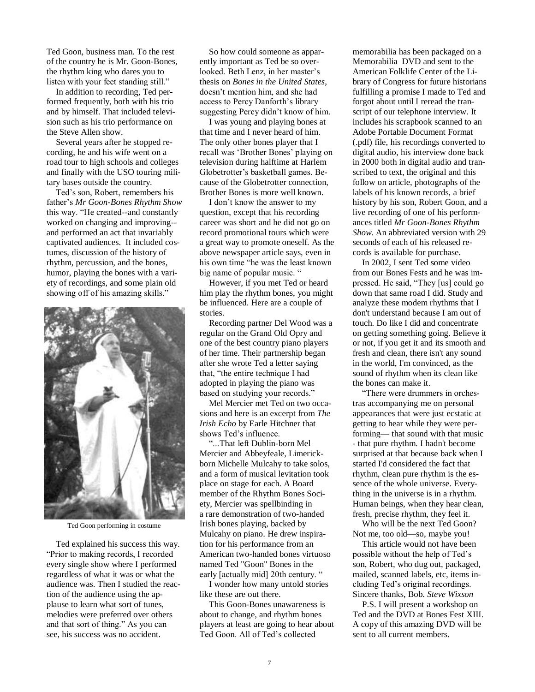Ted Goon, business man. To the rest of the country he is Mr. Goon-Bones, the rhythm king who dares you to listen with your feet standing still."

In addition to recording, Ted performed frequently, both with his trio and by himself. That included television such as his trio performance on the Steve Allen show.

Several years after he stopped recording, he and his wife went on a road tour to high schools and colleges and finally with the USO touring military bases outside the country.

Ted's son, Robert, remembers his father's *Mr Goon-Bones Rhythm Show*  this way. "He created--and constantly worked on changing and improving- and performed an act that invariably captivated audiences. It included costumes, discussion of the history of rhythm, percussion, and the bones, humor, playing the bones with a variety of recordings, and some plain old showing off of his amazing skills."



Ted Goon performing in costume

Ted explained his success this way. ―Prior to making records, I recorded every single show where I performed regardless of what it was or what the audience was. Then I studied the reaction of the audience using the applause to learn what sort of tunes, melodies were preferred over others and that sort of thing." As you can see, his success was no accident.

So how could someone as apparently important as Ted be so overlooked. Beth Lenz, in her master's thesis on *Bones in the United States*, doesn't mention him, and she had access to Percy Danforth's library suggesting Percy didn't know of him.

I was young and playing bones at that time and I never heard of him. The only other bones player that I recall was 'Brother Bones' playing on television during halftime at Harlem Globetrotter's basketball games. Because of the Globetrotter connection, Brother Bones is more well known.

I don't know the answer to my question, except that his recording career was short and he did not go on record promotional tours which were a great way to promote oneself. As the above newspaper article says, even in his own time "he was the least known big name of popular music. "

However, if you met Ted or heard him play the rhythm bones, you might be influenced. Here are a couple of stories.

Recording partner Del Wood was a regular on the Grand Old Opry and one of the best country piano players of her time. Their partnership began after she wrote Ted a letter saying that, "the entire technique I had adopted in playing the piano was based on studying your records."

Mel Mercier met Ted on two occasions and here is an excerpt from *The Irish Echo* by Earle Hitchner that shows Ted's influence.

―...That left Dublin-born Mel Mercier and Abbeyfeale, Limerickborn Michelle Mulcahy to take solos, and a form of musical levitation took place on stage for each. A Board member of the Rhythm Bones Society, Mercier was spellbinding in a rare demonstration of two-handed Irish bones playing, backed by Mulcahy on piano. He drew inspiration for his performance from an American two-handed bones virtuoso named Ted "Goon" Bones in the early [actually mid] 20th century. "

I wonder how many untold stories like these are out there.

This Goon-Bones unawareness is about to change, and rhythm bones players at least are going to hear about Ted Goon. All of Ted's collected

memorabilia has been packaged on a Memorabilia DVD and sent to the American Folklife Center of the Library of Congress for future historians fulfilling a promise I made to Ted and forgot about until I reread the transcript of our telephone interview. It includes his scrapbook scanned to an Adobe Portable Document Format (.pdf) file, his recordings converted to digital audio, his interview done back in 2000 both in digital audio and transcribed to text, the original and this follow on article, photographs of the labels of his known records, a brief history by his son, Robert Goon, and a live recording of one of his performances titled *Mr Goon-Bones Rhythm Show*. An abbreviated version with 29 seconds of each of his released records is available for purchase.

In 2002, I sent Ted some video from our Bones Fests and he was impressed. He said, "They [us] could go down that same road I did. Study and analyze these modem rhythms that I don't understand because I am out of touch. Do like I did and concentrate on getting something going. Believe it or not, if you get it and its smooth and fresh and clean, there isn't any sound in the world, I'm convinced, as the sound of rhythm when its clean like the bones can make it.

―There were drummers in orchestras accompanying me on personal appearances that were just ecstatic at getting to hear while they were performing— that sound with that music - that pure rhythm. I hadn't become surprised at that because back when I started I'd considered the fact that rhythm, clean pure rhythm is the essence of the whole universe. Everything in the universe is in a rhythm. Human beings, when they hear clean, fresh, precise rhythm, they feel it.

Who will be the next Ted Goon? Not me, too old—so, maybe you!

This article would not have been possible without the help of Ted's son, Robert, who dug out, packaged, mailed, scanned labels, etc, items including Ted's original recordings. Sincere thanks, Bob. *Steve Wixson*

P.S. I will present a workshop on Ted and the DVD at Bones Fest XIII. A copy of this amazing DVD will be sent to all current members.